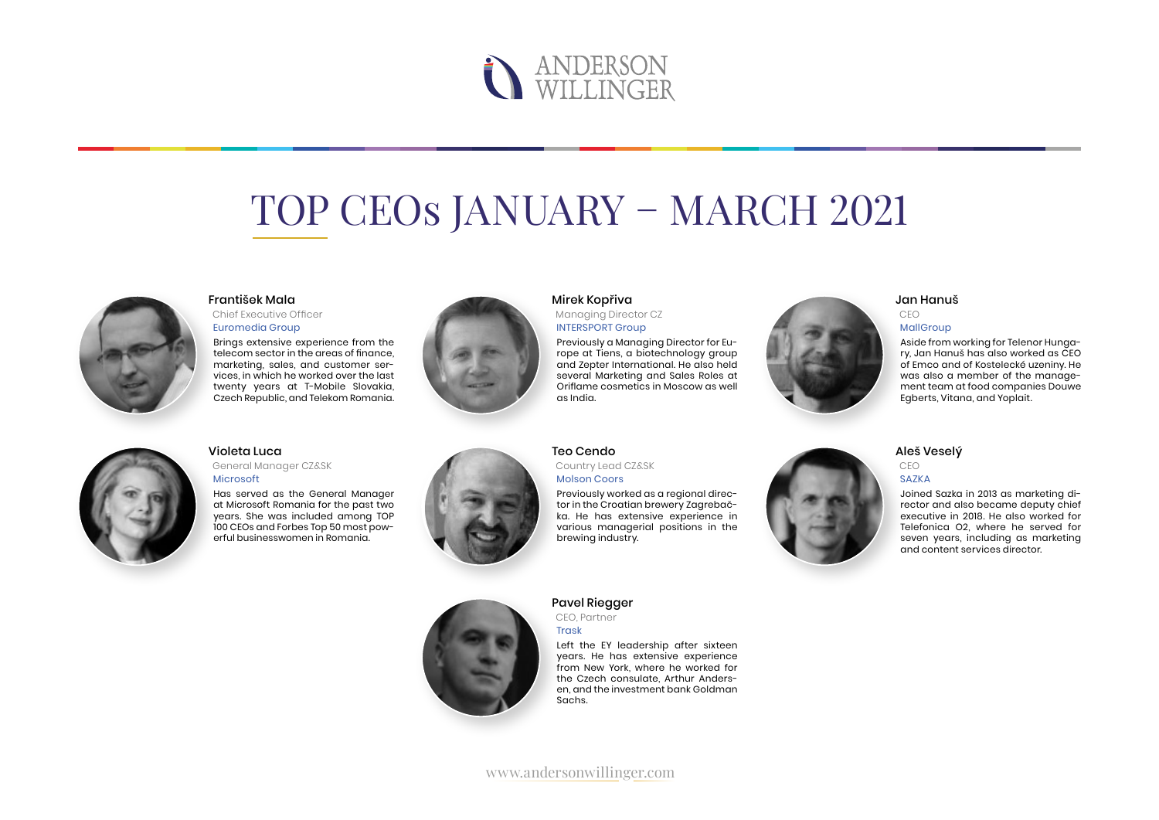# **NERSON**<br>WILLINGER

## TOP CEOs JANUARY – MARCH 2021



#### František Mala

Chief Executive Officer Euromedia Group

Brings extensive experience from the telecom sector in the areas of finance, marketing, sales, and customer services, in which he worked over the last twenty years at T-Mobile Slovakia, Czech Republic, and Telekom Romania.



#### Mirek Kopřiva

Managing Director CZ INTERSPORT Group

Previously a Managing Director for Europe at Tiens, a biotechnology group and Zepter International. He also held several Marketing and Sales Roles at Oriflame cosmetics in Moscow as well as India.



Aside from working for Telenor Hungary, Jan Hanuš has also worked as CEO of Emco and of Kostelecké uzeniny. He was also a member of the management team at food companies Douwe Egberts, Vitana, and Yoplait.



#### Violeta Luca

General Manager CZ&SK Microsoft

Has served as the General Manager at Microsoft Romania for the past two years. She was included among TOP 100 CEOs and Forbes Top 50 most powerful businesswomen in Romania.



#### Teo Cendo Country Lead CZ&SK

Molson Coors

Previously worked as a regional director in the Croatian brewery Zagrebačka. He has extensive experience in various managerial positions in the brewing industry.

### Pavel Riegger

CEO, Partner Trask

Left the EY leadership after sixteen years. He has extensive experience from New York, where he worked for the Czech consulate, Arthur Andersen, and the investment bank Goldman Sachs.



#### Aleš Veselý

CEO SAZKA

Joined Sazka in 2013 as marketing director and also became deputy chief executive in 2018. He also worked for Telefonica O2, where he served for seven years, including as marketing and content services director.

www.andersonwillinger.com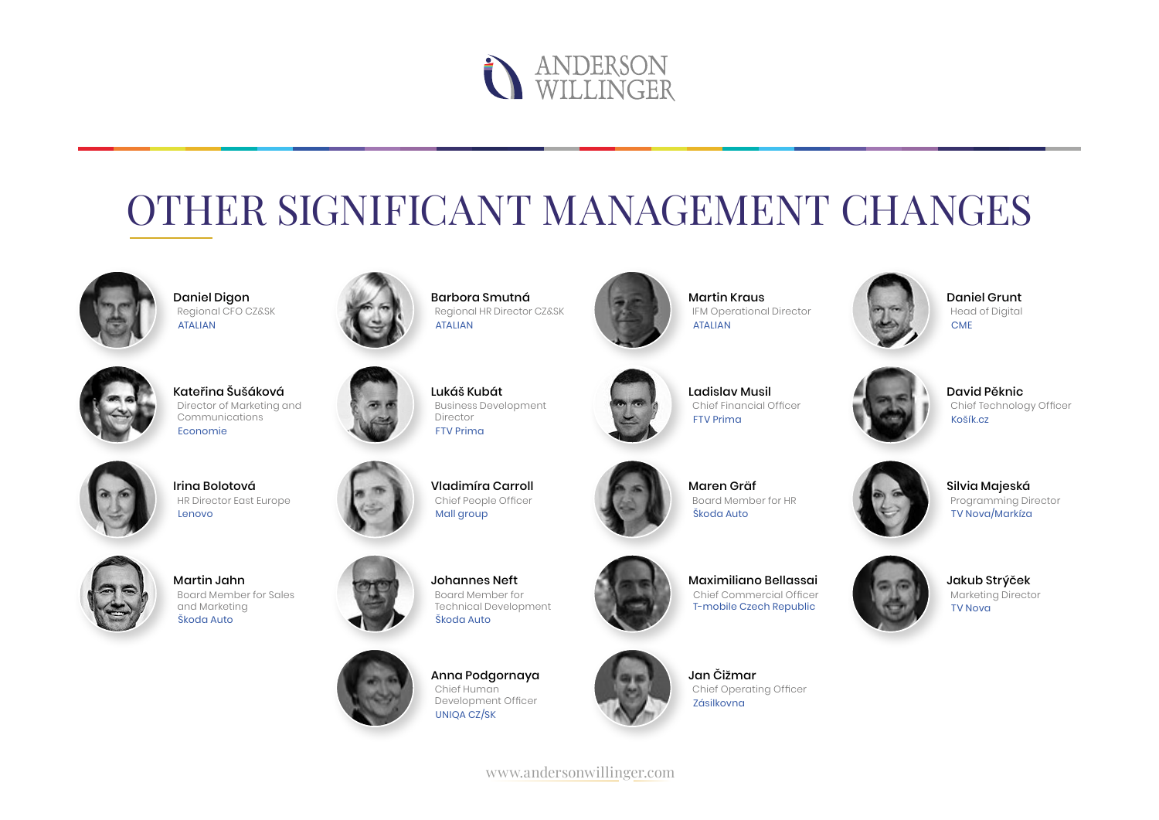

## OTHER SIGNIFICANT MANAGEMENT CHANGES



Daniel Digon Regional CFO CZ&SK ATALIAN



Kateřina Šušáková Director of Marketing and Communications Economie



Irina Bolotová HR Director East Europe Lenovo



Martin Jahn Board Member for Sales and Marketing Škoda Auto



Barbora Smutná Regional HR Director CZ&SK ATALIAN



Vladimíra Carroll Chief People Officer Mall aroup

Johannes Neft Board Member for

Škoda Auto



Martin Kraus

ATALIAN

IFM Operational Director

Ladislav Musil Chief Financial Officer FTV Prima



Daniel Grunt Head of Digital CME



David Pěknic Chief Technology Officer Košík.cz



Maren Gräf Board Member for HR Škoda Auto



Silvia Majeská Programming Director TV Nova/Markíza







Maximiliano Bellassai Chief Commercial Officer T-mobile Czech Republic

Jan Čižmar Chief Operating Officer Zásilkovna



Jakub Strýček Marketing Director TV Nova



Anna Podgornaya Chief Human Development Officer UNIQA CZ/SK

www.andersonwillinger.com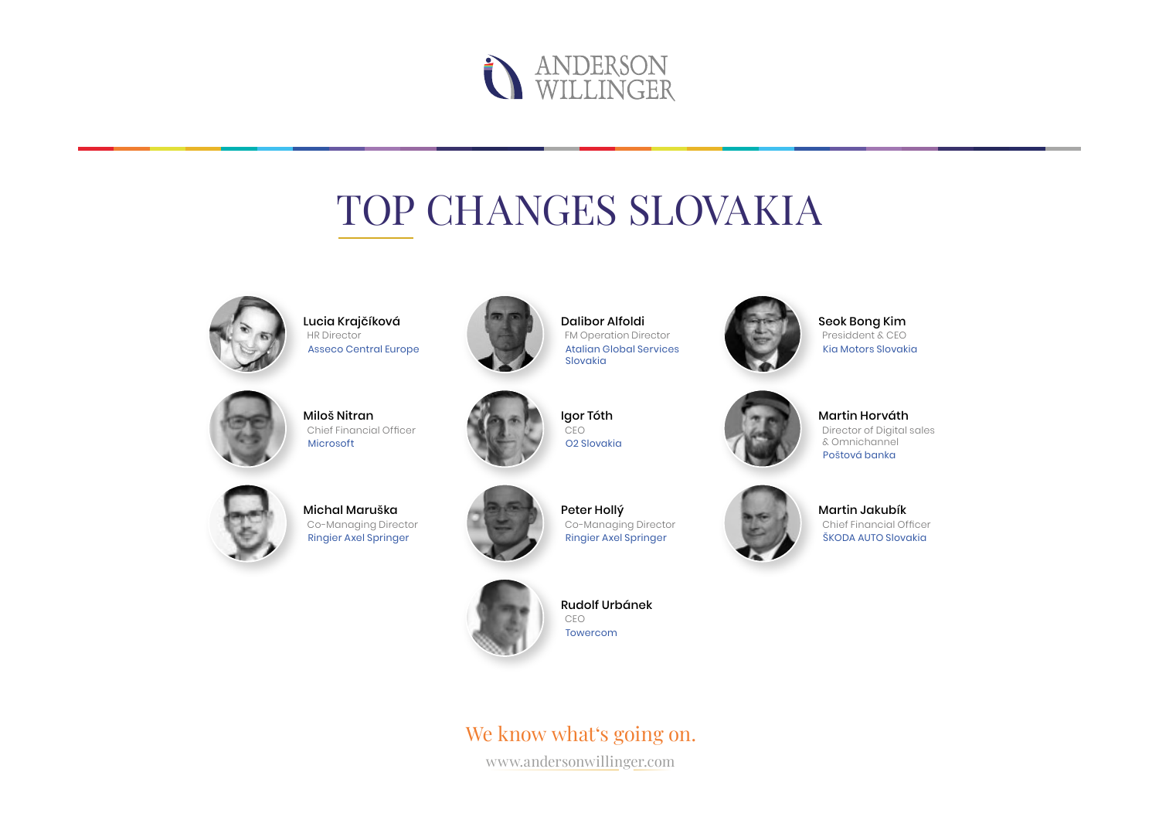

### TOP CHANGES SLOVAKIA



Lucia Krajčíková HR Director Asseco Central Europe



Dalibor Alfoldi FM Operation Director Atalian Global Services Slovakia



Miloš Nitran Chief Financial Officer Microsoft



Igor Tóth CEO O2 Slovakia



Seok Bong Kim Presiddent & CEO Kia Motors Slovakia



Martin Horváth Director of Digital sales & Omnichannel Poštová banka



Michal Maruška Co-Managing Director Ringier Axel Springer



Peter Hollý Co-Managing Director Ringier Axel Springer



Rudolf Urbánek CEO Towercom



www.andersonwillinger.com



Martin Jakubík Chief Financial Officer ŠKODA AUTO Slovakia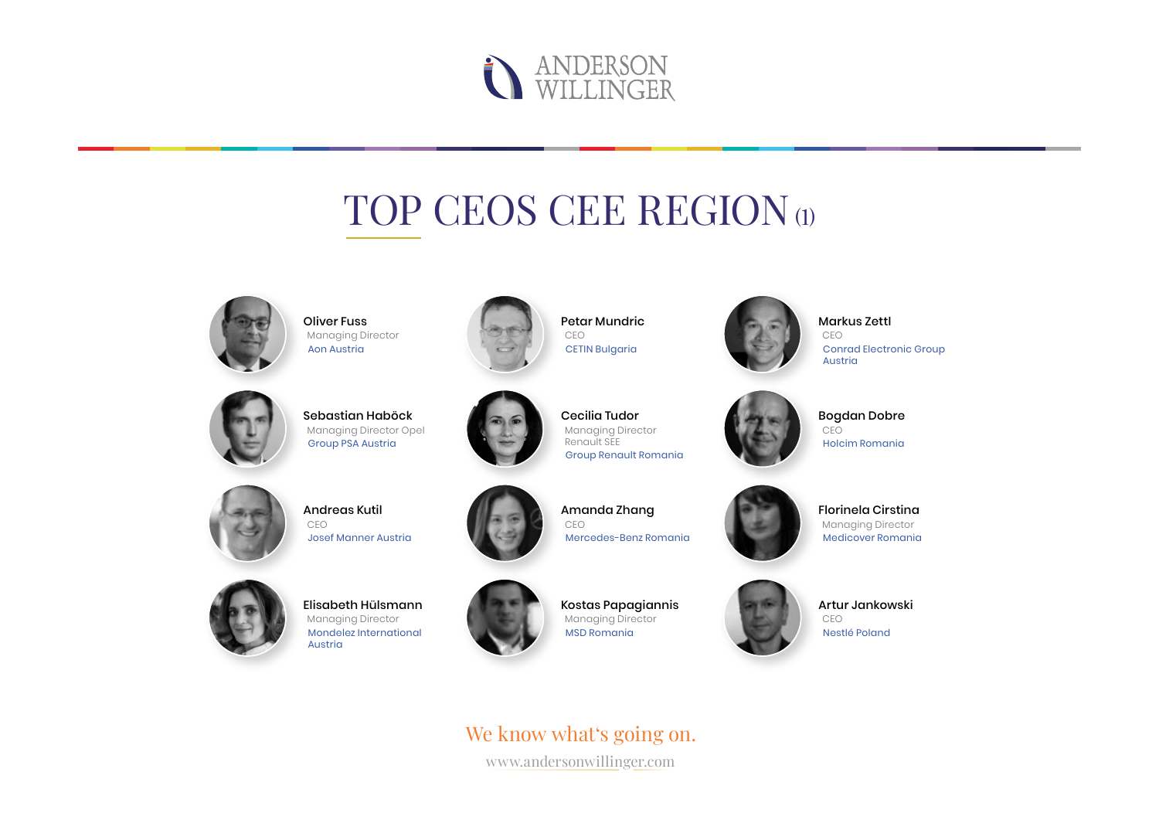

### TOP CEOS CEE REGION (1)



Oliver Fuss Managing Director Aon Austria



Petar Mundric CEO CETIN Bulgaria



Markus Zettl CEO Conrad Electronic Group Austria



Sebastian Haböck Managing Director Opel Group PSA Austria



Cecilia Tudor Managing Director Renault SEE Group Renault Romania



Bogdan Dobre CEO Holcim Romania



Andreas Kutil CEO Josef Manner Austria



Amanda Zhang CEO Mercedes-Benz Romania



Florinela Cirstina Managing Director Medicover Romania



Elisabeth Hülsmann Managing Director Mondelez International Austria



Kostas Papagiannis Managing Director MSD Romania

www.andersonwillinger.com We know what's going on.



Artur Jankowski CEO Nestlé Poland